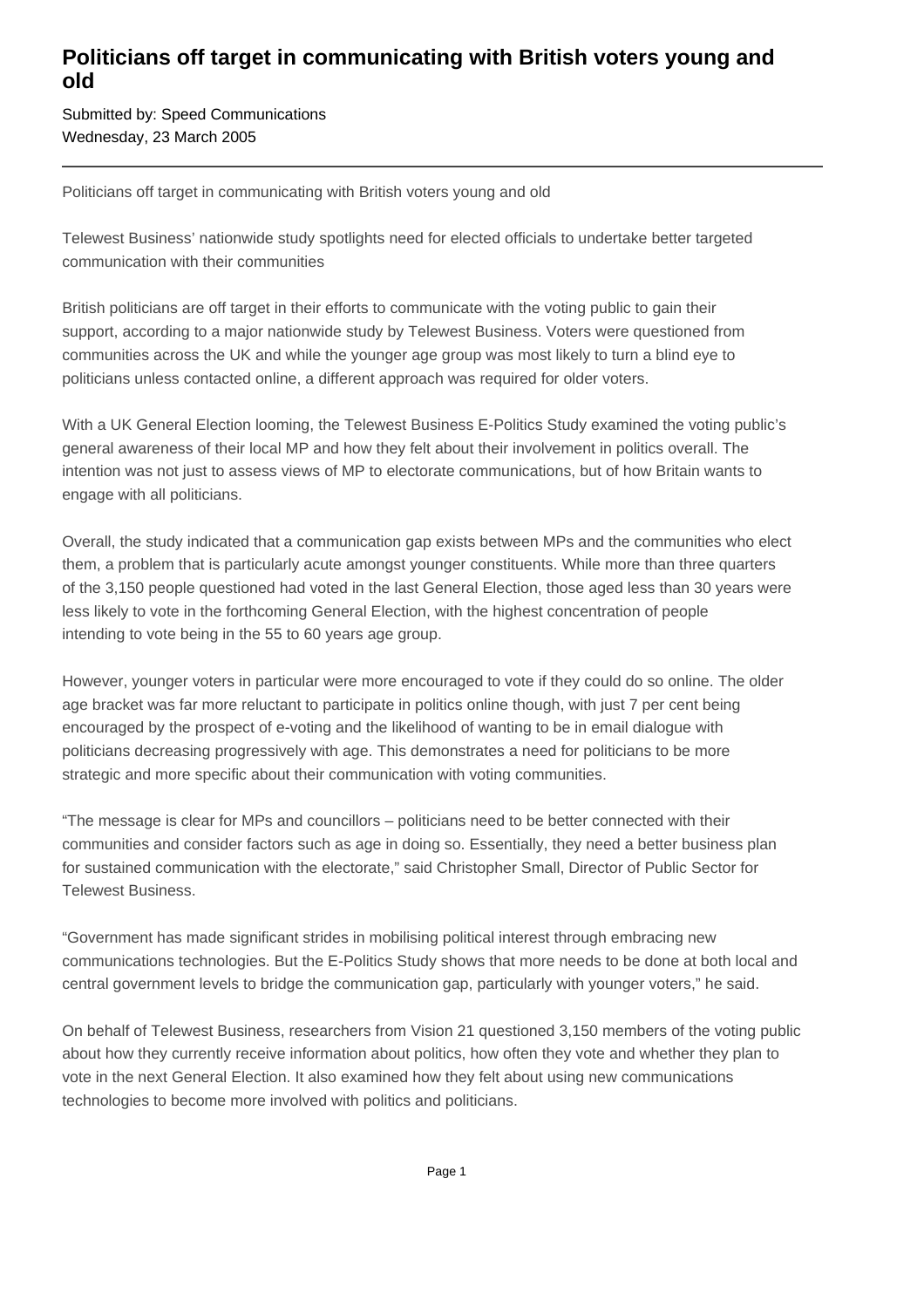## **Politicians off target in communicating with British voters young and old**

Submitted by: Speed Communications Wednesday, 23 March 2005

Politicians off target in communicating with British voters young and old

Telewest Business' nationwide study spotlights need for elected officials to undertake better targeted communication with their communities

British politicians are off target in their efforts to communicate with the voting public to gain their support, according to a major nationwide study by Telewest Business. Voters were questioned from communities across the UK and while the younger age group was most likely to turn a blind eye to politicians unless contacted online, a different approach was required for older voters.

With a UK General Election looming, the Telewest Business E-Politics Study examined the voting public's general awareness of their local MP and how they felt about their involvement in politics overall. The intention was not just to assess views of MP to electorate communications, but of how Britain wants to engage with all politicians.

Overall, the study indicated that a communication gap exists between MPs and the communities who elect them, a problem that is particularly acute amongst younger constituents. While more than three quarters of the 3,150 people questioned had voted in the last General Election, those aged less than 30 years were less likely to vote in the forthcoming General Election, with the highest concentration of people intending to vote being in the 55 to 60 years age group.

However, younger voters in particular were more encouraged to vote if they could do so online. The older age bracket was far more reluctant to participate in politics online though, with just 7 per cent being encouraged by the prospect of e-voting and the likelihood of wanting to be in email dialogue with politicians decreasing progressively with age. This demonstrates a need for politicians to be more strategic and more specific about their communication with voting communities.

"The message is clear for MPs and councillors – politicians need to be better connected with their communities and consider factors such as age in doing so. Essentially, they need a better business plan for sustained communication with the electorate," said Christopher Small, Director of Public Sector for Telewest Business.

"Government has made significant strides in mobilising political interest through embracing new communications technologies. But the E-Politics Study shows that more needs to be done at both local and central government levels to bridge the communication gap, particularly with younger voters," he said.

On behalf of Telewest Business, researchers from Vision 21 questioned 3,150 members of the voting public about how they currently receive information about politics, how often they vote and whether they plan to vote in the next General Election. It also examined how they felt about using new communications technologies to become more involved with politics and politicians.